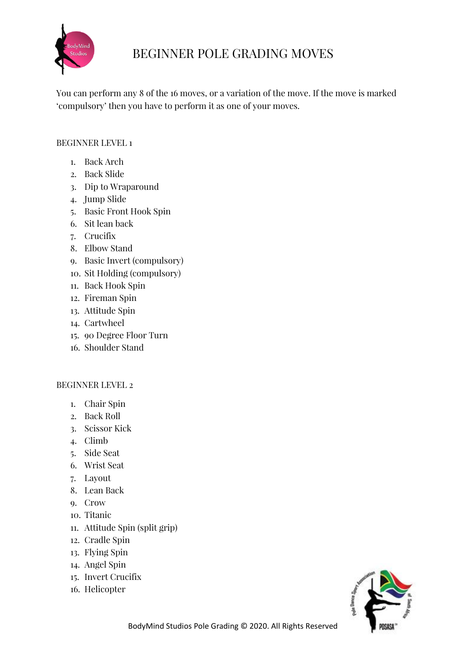

# BEGINNER POLE GRADING MOVES

You can perform any 8 of the 16 moves, or a variation of the move. If the move is marked 'compulsory' then you have to perform it as one of your moves.

## BEGINNER LEVEL 1

- 1. Back Arch
- 2. Back Slide
- 3. Dip to Wraparound
- 4. Jump Slide
- 5. Basic Front Hook Spin
- 6. Sit lean back
- 7. Crucifix
- 8. Elbow Stand
- 9. Basic Invert (compulsory)
- 10. Sit Holding (compulsory)
- 11. Back Hook Spin
- 12. Fireman Spin
- 13. Attitude Spin
- 14. Cartwheel
- 15. 90 Degree Floor Turn
- 16. Shoulder Stand

### BEGINNER LEVEL 2

- 1. Chair Spin
- 2. Back Roll
- 3. Scissor Kick
- 4. Climb
- 5. Side Seat
- 6. Wrist Seat
- 7. Layout
- 8. Lean Back
- 9. Crow
- 10. Titanic
- 11. Attitude Spin (split grip)
- 12. Cradle Spin
- 13. Flying Spin
- 14. Angel Spin
- 15. Invert Crucifix
- 16. Helicopter

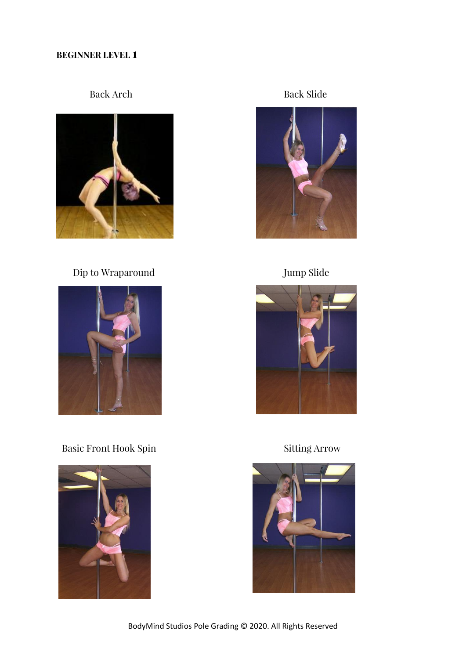### **BEGINNER LEVEL 1**



Dip to Wraparound Jump Slide



Basic Front Hook Spin Sitting Arrow



Back Arch Back Slide





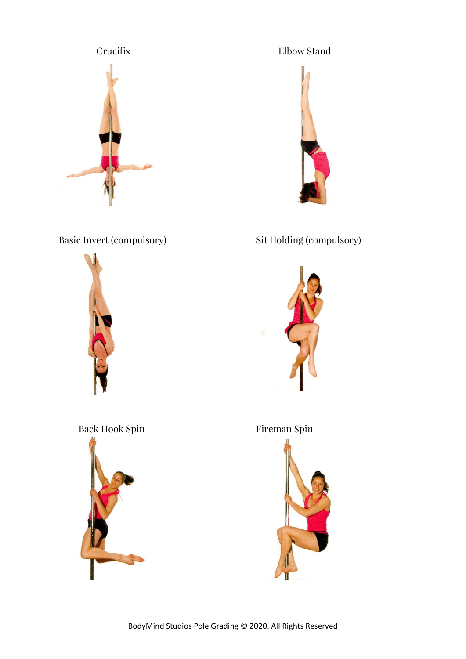





# Basic Invert (compulsory) Sit Holding (compulsory)



# Back Hook Spin Fireman Spin



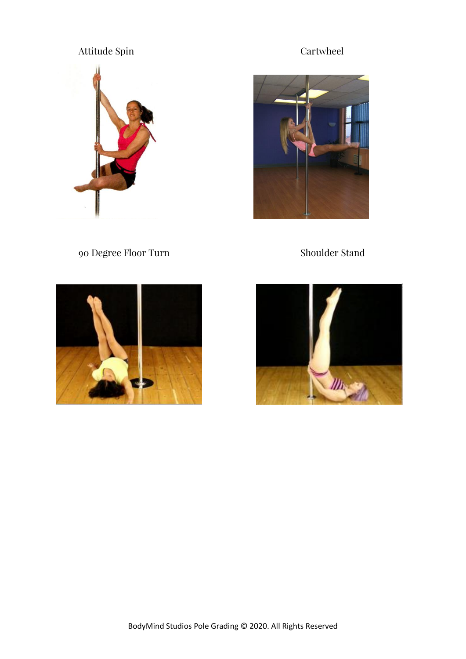# Attitude Spin Cartwheel





90 Degree Floor Turn Shoulder Stand



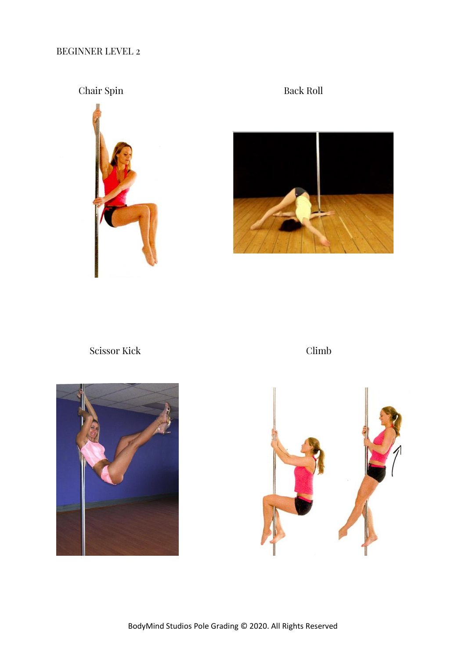## BEGINNER LEVEL 2

## Chair Spin Back Roll





Scissor Kick Climb



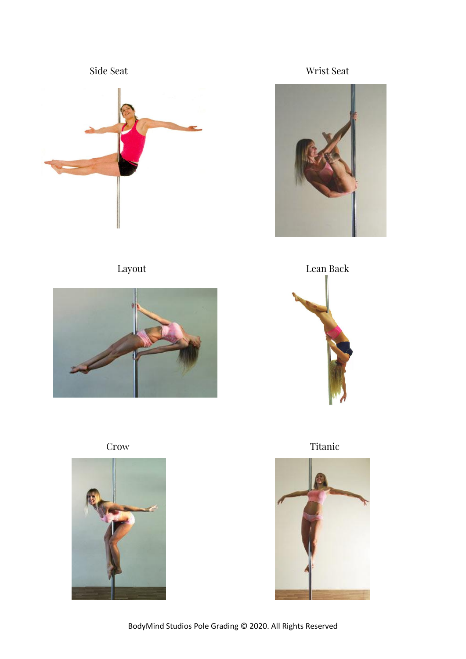





Side Seat Wrist Seat





Crow Titanic



BodyMind Studios Pole Grading © 2020. All Rights Reserved